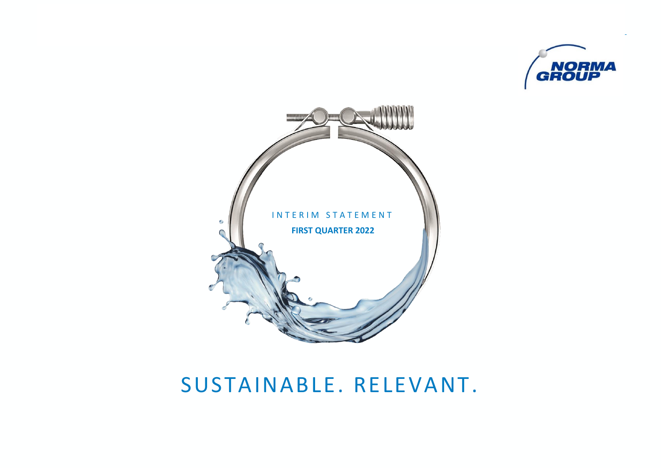



# SUSTAINABLE. RELEVANT.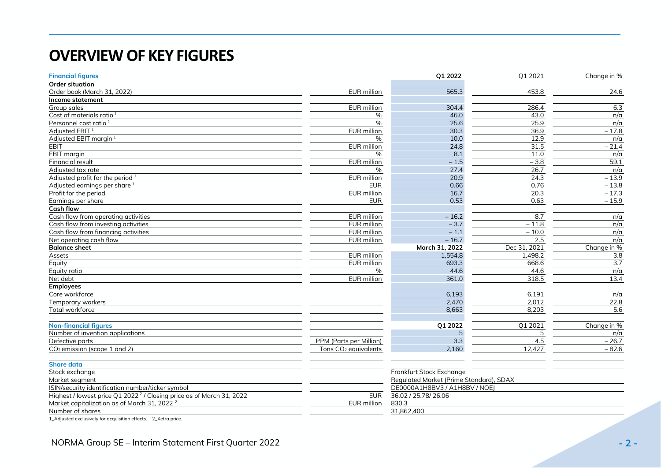## <span id="page-1-0"></span>**OVERVIEW OF KEY FIGURES**

| <b>Financial figures</b>                                                         |                                  | Q1 2022                                 | Q1 2021          | Change in % |
|----------------------------------------------------------------------------------|----------------------------------|-----------------------------------------|------------------|-------------|
| <b>Order situation</b>                                                           |                                  |                                         |                  |             |
| Order book (March 31, 2022)                                                      | EUR million                      | 565.3                                   | 453.8            | 24.6        |
| Income statement                                                                 |                                  |                                         |                  |             |
| Group sales                                                                      | <b>EUR</b> million               | 304.4                                   | 286.4            | 6.3         |
| Cost of materials ratio <sup>1</sup>                                             | %                                | 46.0                                    | 43.0             | n/a         |
| Personnel cost ratio <sup>1</sup>                                                | %                                | 25.6                                    | 25.9             | n/a         |
| Adjusted EBIT <sup>1</sup>                                                       | EUR million                      | 30.3                                    | 36.9             | $-17.8$     |
| Adjusted EBIT margin <sup>1</sup>                                                | $\%$                             | 10.0                                    | 12.9             | n/a         |
| <b>EBIT</b>                                                                      | <b>EUR</b> million               | 24.8                                    | $\frac{1}{31.5}$ | $-21.4$     |
| <b>EBIT</b> margin                                                               | %                                | 8.1                                     | 11.0             | n/a         |
| Financial result                                                                 | EUR million                      | $-1.5$                                  | $-3.8$           | 59.1        |
| Adjusted tax rate                                                                | %                                | 27.4                                    | 26.7             | n/a         |
| Adjusted profit for the period $1$                                               | EUR million                      | 20.9                                    | 24.3             | $-13.9$     |
| Adjusted earnings per share <sup>1</sup>                                         | <b>EUR</b>                       | 0.66                                    | 0.76             | $-13.8$     |
| Profit for the period                                                            | EUR million                      | 16.7                                    | 20.3             | $-17.3$     |
| Earnings per share                                                               | <b>EUR</b>                       | 0.53                                    | 0.63             | $-15.9$     |
| <b>Cash flow</b>                                                                 |                                  |                                         |                  |             |
| Cash flow from operating activities                                              | EUR million                      | $-16.2$                                 | 8.7              | n/a         |
| Cash flow from investing activities                                              | <b>EUR</b> million               | $-3.7$                                  | $-11.8$          | n/a         |
| Cash flow from financing activities                                              | <b>EUR</b> million               | $-1.1$                                  | $-10.0$          | n/a         |
| Net operating cash flow                                                          | EUR million                      | $-16.7$                                 | 2.5              | n/a         |
| <b>Balance sheet</b>                                                             |                                  | March 31, 2022                          | Dec 31, 2021     | Change in % |
| Assets                                                                           | EUR million                      | 1,554.8                                 | 1,498.2          | 3.8         |
| Equity                                                                           | EUR million                      | 693.3                                   | 668.6            | 3.7         |
| Equity ratio                                                                     | $\%$                             | 44.6                                    | 44.6             | n/a         |
| Net debt                                                                         | <b>EUR</b> million               | 361.0                                   | 318.5            | 13.4        |
| <b>Employees</b>                                                                 |                                  |                                         |                  |             |
| Core workforce                                                                   |                                  | 6,193                                   | 6,191            | n/a         |
| Temporary workers                                                                |                                  | 2,470                                   | 2,012            | 22.8        |
| Total workforce                                                                  |                                  | 8,663                                   | 8,203            | 5.6         |
| <b>Non-financial figures</b>                                                     |                                  | Q1 2022                                 | Q1 2021          | Change in % |
| Number of invention applications                                                 |                                  |                                         |                  | n/a         |
| Defective parts                                                                  | PPM (Parts per Million)          | 3.3                                     | 4.5              | $-26.7$     |
| $CO2$ emission (scope 1 and 2)                                                   | Tons CO <sub>2</sub> equivalents | 2,160                                   | 12,427           | $-82.6$     |
|                                                                                  |                                  |                                         |                  |             |
| <b>Share data</b>                                                                |                                  |                                         |                  |             |
| Stock exchange                                                                   |                                  | Frankfurt Stock Exchange                |                  |             |
| Market seament                                                                   |                                  | Regulated Market (Prime Standard), SDAX |                  |             |
| ISIN/security identification number/ticker symbol                                |                                  | DE0000A1H8BV3 / A1H8BV / NOE            |                  |             |
| Highest / lowest price Q1 2022 <sup>2</sup> / Closing price as of March 31, 2022 | <b>EUR</b>                       | 36.02 / 25.78/ 26.06                    |                  |             |
| Market capitalization as of March 31, 2022 <sup>2</sup>                          | EUR million                      | 830.3                                   |                  |             |
| Number of shares                                                                 |                                  | 31,862,400                              |                  |             |

1\_Adjusted exclusively for acquisition effects. 2\_Xetra price.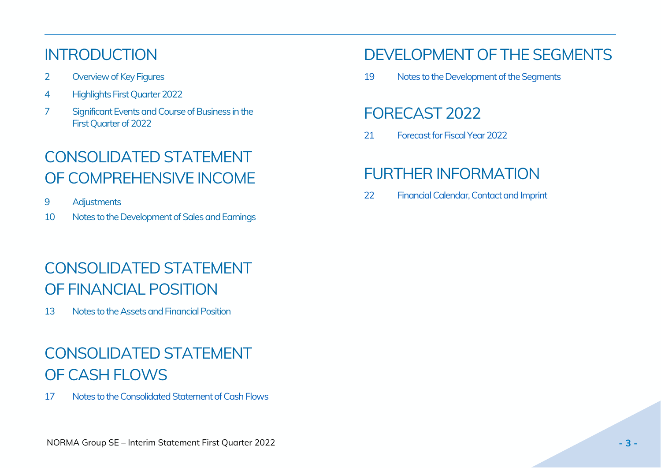## INTRODUCTION

- 2 [Overview of Key Figures](#page-1-0)
- 4 Highlights First Quarter 2022
- 7 [Significant Events and Course of Business in the](#page-6-0) [First Quarter of 2022](#page-6-0)

# CONSOLIDATED STATEMENT OF COMPREHENSIVE INCOME

- 9 [Adjustments](#page-8-0)
- 10 [Notes to the Development of Sales and Earnings](#page-8-1)

# CONSOLIDATED STATEMENT OF FINANCIAL POSITION

13 Notes to the Assets and Financial Position

# CONSOLIDATED STATEMENT OF CASH FLOWS

17 [Notes to the Consolidated Statement of Cash Flows](#page-16-0)

## [DEVELOPMENT](#page-17-0) OF THE SEGMENTS

[19 Notes to the Development of the Segments](#page-18-0)

## [FORECAST](#page-20-0) 2022

21 [Forecast for Fiscal Year 2022](#page-20-0)

## [FURTHER](#page-21-0) INFORMATION

22 [Financial Calendar, Contact and Imprint](#page-21-0)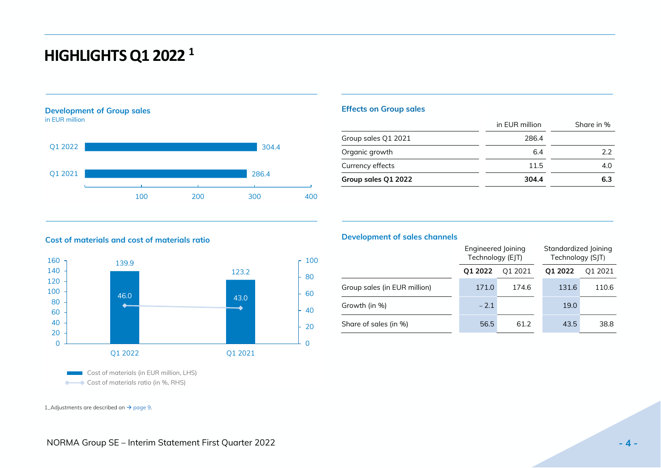## <span id="page-3-0"></span>**HIGHLIGHTS Q1 2022 <sup>1</sup>**

#### **Development of Group sales** in EUR million





## **Effects on Group sales**

|                     | in EUR million | Share in % |  |
|---------------------|----------------|------------|--|
| Group sales Q1 2021 | 286.4          |            |  |
| Organic growth      | 6.4            | 22         |  |
| Currency effects    | 11.5           | 4.0        |  |
| Group sales Q1 2022 | 304.4          | 6.3        |  |

## **Cost of materials and cost of materials ratio**

Cost of materials ratio (in %, RHS)



### **Development of sales channels**

|                              | Engineered Joining<br>Technology (EJT) |         | Standardized Joining<br>Technology (SJT) |         |
|------------------------------|----------------------------------------|---------|------------------------------------------|---------|
|                              | Q1 2022                                | Q1 2021 | Q1 2022                                  | Q1 2021 |
| Group sales (in EUR million) | 171.0                                  | 174.6   | 131.6                                    | 110.6   |
| Growth (in %)                | $-2.1$                                 |         | 19.0                                     |         |
| Share of sales (in %)        | 56.5                                   | 61.2    | 43.5                                     | 38.8    |

1\_Adjustments are described on  $\rightarrow$  page 9.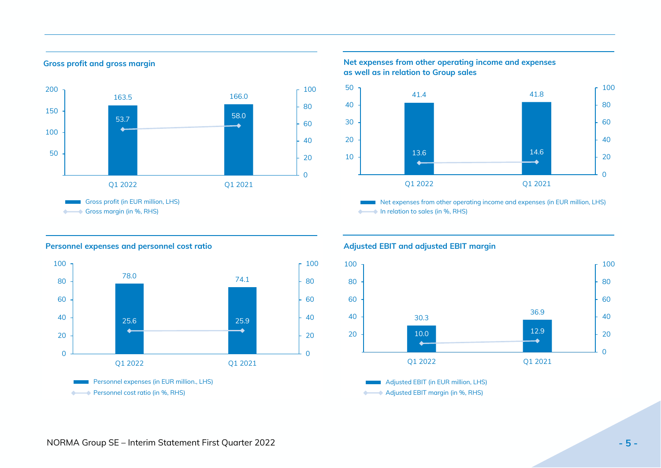### **Gross profit and gross margin**



### **Net expenses from other operating income and expenses as well as in relation to Group sales**



 Net expenses from other operating income and expenses (in EUR million, LHS) **← In relation to sales (in %, RHS)** 

### **Personnel expenses and personnel cost ratio**



### **Adjusted EBIT and adjusted EBIT margin**



 Adjusted EBIT (in EUR million, LHS) **→ Adjusted EBIT margin (in %, RHS)**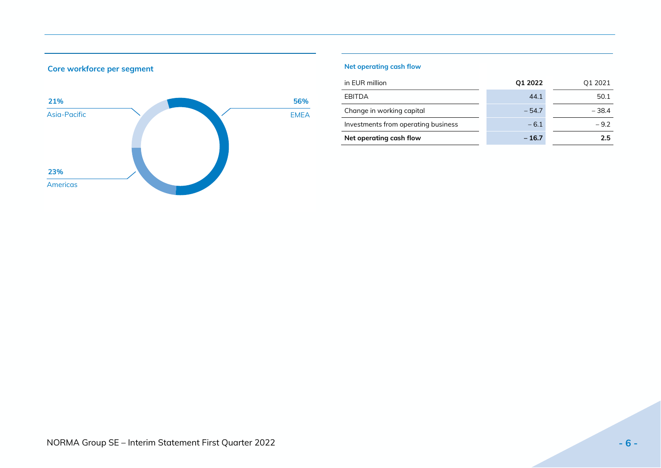

## **Core workforce per segment**

## **Net operating cash flow**

| in EUR million                      | Q1 2022 | Q1 2021 |
|-------------------------------------|---------|---------|
| EBITDA                              | 44.1    | 50.1    |
| Change in working capital           | $-54.7$ | $-38.4$ |
| Investments from operating business | $-6.1$  | $-9.2$  |
| Net operating cash flow             | $-16.7$ | 25      |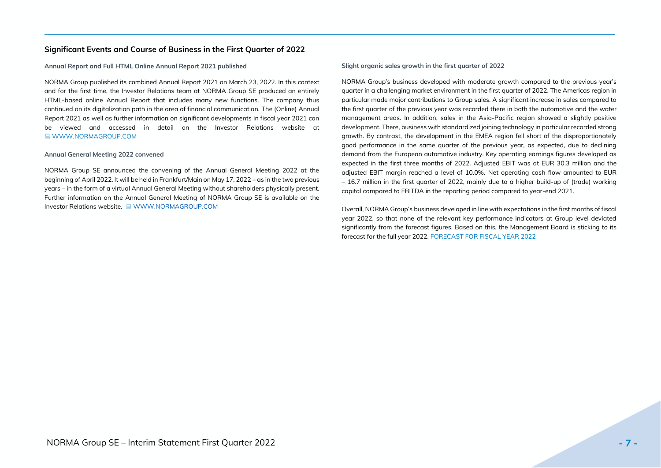### <span id="page-6-0"></span>**Significant Events and Course of Business in the First Quarter of 2022**

#### **Annual Report and Full HTML Online Annual Report 2021 published**

NORMA Group published its combined Annual Report 2021 on March 23, 2022. In this context and for the first time, the Investor Relations team at NORMA Group SE produced an entirely HTML-based online Annual Report that includes many new functions. The company thus continued on its digitalization path in the area of financial communication. The (Online) Annual Report 2021 as well as further information on significant developments in fiscal year 2021 can be viewed and accessed in detail on the Investor Relations website at **E** [WWW.NORMAGROUP.COM](https://www.normagroup.com/corp/en/investors/)

#### **Annual General Meeting 2022 convened**

NORMA Group SE announced the convening of the Annual General Meeting 2022 at the beginning of April 2022. It will be held in Frankfurt/Main on May 17, 2022 – as in the two previous years – in the form of a virtual Annual General Meeting without shareholders physically present. Further information on the Annual General Meeting of NORMA Group SE is available on the Investor Relations website. [WWW.NORMAGROUP.COM](https://www.normagroup.com/corp/en/investors/agm/)

#### **Slight organic sales growth in the first quarter of 2022**

NORMA Group's business developed with moderate growth compared to the previous year's quarter in a challenging market environment in the first quarter of 2022. The Americas region in particular made major contributions to Group sales. A significant increase in sales compared to the first quarter of the previous year was recorded there in both the automotive and the water management areas. In addition, sales in the Asia-Pacific region showed a slightly positive development. There, business with standardized joining technology in particular recorded strong growth. By contrast, the development in the EMEA region fell short of the disproportionately good performance in the same quarter of the previous year, as expected, due to declining demand from the European automotive industry. Key operating earnings figures developed as expected in the first three months of 2022. Adjusted EBIT was at EUR 30.3 million and the adjusted EBIT margin reached a level of 10.0%. Net operating cash flow amounted to EUR – 16.7 million in the first quarter of 2022, mainly due to a higher build-up of (trade) working capital compared to EBITDA in the reporting period compared to year-end 2021.

Overall, NORMA Group's business developed in line with expectations in the first months of fiscal year 2022, so that none of the relevant key performance indicators at Group level deviated significantly from the forecast figures. Based on this, the Management Board is sticking to its forecast for the full year 2022. [FORECAST FOR FISCAL YEAR](#page-20-0) 2022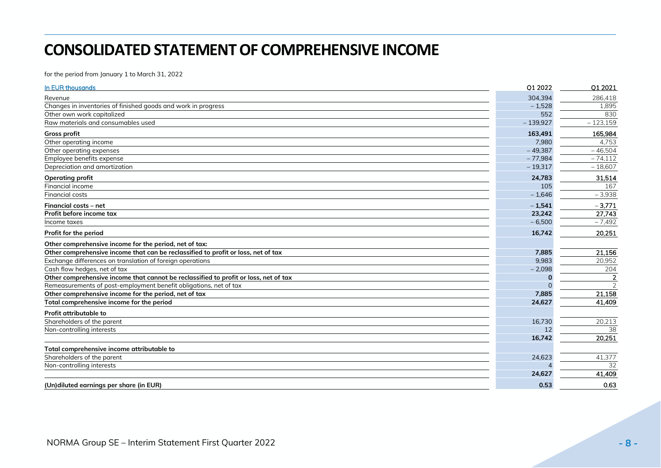## **CONSOLIDATED STATEMENT OF COMPREHENSIVE INCOME**

for the period from January 1 to March 31, 2022

| In EUR thousands                                                                     | Q1 2022    | Q1 2021        |
|--------------------------------------------------------------------------------------|------------|----------------|
| Revenue                                                                              | 304,394    | 286,418        |
| Changes in inventories of finished goods and work in progress                        | $-1,528$   | 1,895          |
| Other own work capitalized                                                           | 552        | 830            |
| Raw materials and consumables used                                                   | $-139,927$ | $-123,159$     |
| <b>Gross profit</b>                                                                  | 163,491    | 165,984        |
| Other operating income                                                               | 7,980      | 4,753          |
| Other operating expenses                                                             | $-49,387$  | $-46,504$      |
| Employee benefits expense                                                            | $-77,984$  | $-74,112$      |
| Depreciation and amortization                                                        | $-19,317$  | $-18,607$      |
| Operating profit                                                                     | 24,783     | 31,514         |
| Financial income                                                                     | 105        | 167            |
| <b>Financial costs</b>                                                               | $-1,646$   | $-3,938$       |
| Financial costs - net                                                                | $-1.541$   | $-3,771$       |
| Profit before income tax                                                             | 23,242     | 27,743         |
| Income taxes                                                                         | $-6,500$   | $-7,492$       |
| Profit for the period                                                                | 16,742     | 20,251         |
| Other comprehensive income for the period, net of tax:                               |            |                |
| Other comprehensive income that can be reclassified to profit or loss, net of tax    | 7,885      | 21,156         |
| Exchange differences on translation of foreign operations                            | 9.983      | 20,952         |
| Cash flow hedges, net of tax                                                         | $-2,098$   | 204            |
| Other comprehensive income that cannot be reclassified to profit or loss, net of tax |            | $\overline{2}$ |
| Remeasurements of post-employment benefit obligations, net of tax                    |            | $\mathcal{P}$  |
| Other comprehensive income for the period, net of tax                                | 7,885      | 21,158         |
| Total comprehensive income for the period                                            | 24,627     | 41,409         |
| Profit attributable to                                                               |            |                |
| Shareholders of the parent                                                           | 16,730     | 20,213         |
| Non-controlling interests                                                            | 12         | 38             |
|                                                                                      | 16,742     | 20,251         |
| Total comprehensive income attributable to                                           |            |                |
| Shareholders of the parent                                                           | 24,623     | 41,377         |
| Non-controlling interests                                                            |            | 32             |
|                                                                                      | 24,627     | 41,409         |
| (Un)diluted earnings per share (in EUR)                                              | 0.53       | 0.63           |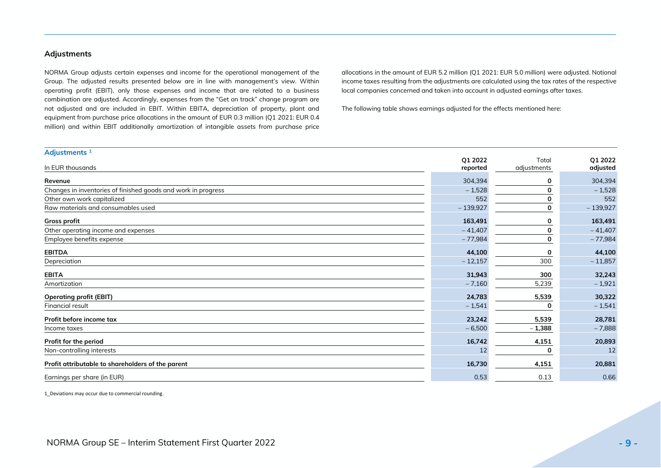### <span id="page-8-0"></span>**Adjustments**

NORMA Group adjusts certain expenses and income for the operational management of the Group. The adjusted results presented below are in line with management's view. Within operating profit (EBIT), only those expenses and income that are related to a business combination are adjusted. Accordingly, expenses from the "Get on track" change program are not adjusted and are included in EBIT. Within EBITA, depreciation of property, plant and equipment from purchase price allocations in the amount of EUR 0.3 million (Q1 2021: EUR 0.4 million) and within EBIT additionally amortization of intangible assets from purchase price

allocations in the amount of EUR 5.2 million (Q1 2021: EUR 5.0 million) were adjusted. Notional income taxes resulting from the adjustments are calculated using the tax rates of the respective local companies concerned and taken into account in adjusted earnings after taxes.

The following table shows earnings adjusted for the effects mentioned here:

| Adjustments <sup>1</sup>                                      |            |             |            |
|---------------------------------------------------------------|------------|-------------|------------|
|                                                               | Q1 2022    | Total       | Q1 2022    |
| In EUR thousands                                              | reported   | adjustments | adjusted   |
| Revenue                                                       | 304,394    |             | 304,394    |
| Changes in inventories of finished goods and work in progress | $-1,528$   |             | $-1,528$   |
| Other own work capitalized                                    | 552        |             | 552        |
| Raw materials and consumables used                            | $-139,927$ |             | $-139,927$ |
| Gross profit                                                  | 163,491    |             | 163,491    |
| Other operating income and expenses                           | $-41,407$  |             | $-41,407$  |
| Employee benefits expense                                     | $-77,984$  |             | $-77,984$  |
| <b>EBITDA</b>                                                 | 44,100     |             | 44,100     |
| Depreciation                                                  | $-12,157$  | 300         | $-11,857$  |
| <b>EBITA</b>                                                  | 31,943     | 300         | 32,243     |
| Amortization                                                  | $-7,160$   | 5,239       | $-1,921$   |
| <b>Operating profit (EBIT)</b>                                | 24,783     | 5,539       | 30,322     |
| Financial result                                              | $-1,541$   |             | $-1,541$   |
| Profit before income tax                                      | 23,242     | 5,539       | 28,781     |
| Income taxes                                                  | $-6,500$   | $-1,388$    | $-7,888$   |
| Profit for the period                                         | 16,742     | 4,151       | 20,893     |
| Non-controlling interests                                     | 12         |             | 12         |
| Profit attributable to shareholders of the parent             | 16,730     | 4,151       | 20,881     |
| Earnings per share (in EUR)                                   | 0.53       | 0.13        | 0.66       |

<span id="page-8-1"></span>1\_Deviations may occur due to commercial rounding.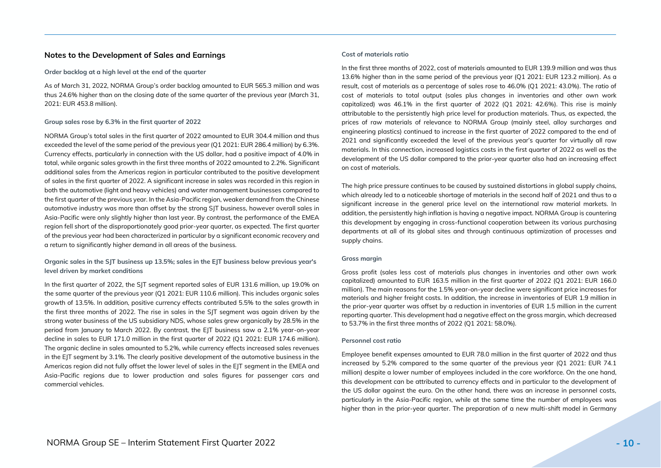### **Notes to the Development of Sales and Earnings**

#### **Order backlog at a high level at the end of the quarter**

As of March 31, 2022, NORMA Group's order backlog amounted to EUR 565.3 million and was thus 24.6% higher than on the closing date of the same quarter of the previous year (March 31, 2021: EUR 453.8 million).

#### **Group sales rose by 6.3% in the first quarter of 2022**

NORMA Group's total sales in the first quarter of 2022 amounted to EUR 304.4 million and thus exceeded the level of the same period of the previous year (Q1 2021: EUR 286.4 million) by 6.3%. Currency effects, particularly in connection with the US dollar, had a positive impact of 4.0% in total, while organic sales growth in the first three months of 2022 amounted to 2.2%. Significant additional sales from the Americas region in particular contributed to the positive development of sales in the first quarter of 2022. A significant increase in sales was recorded in this region in both the automotive (light and heavy vehicles) and water management businesses compared to the first quarter of the previous year. In the Asia-Pacific region, weaker demand from the Chinese automotive industry was more than offset by the strong SJT business, however overall sales in Asia-Pacific were only slightly higher than last year. By contrast, the performance of the EMEA region fell short of the disproportionately good prior-year quarter, as expected. The first quarter of the previous year had been characterized in particular by a significant economic recovery and a return to significantly higher demand in all areas of the business.

#### **Organic sales in the SJT business up 13.5%; sales in the EJT business below previous year's level driven by market conditions**

In the first quarter of 2022, the SJT segment reported sales of EUR 131.6 million, up 19.0% on the same quarter of the previous year (Q1 2021: EUR 110.6 million). This includes organic sales growth of 13.5%. In addition, positive currency effects contributed 5.5% to the sales growth in the first three months of 2022. The rise in sales in the SJT segment was again driven by the strong water business of the US subsidiary NDS, whose sales grew organically by 28.5% in the period from January to March 2022. By contrast, the EJT business saw a 2.1% year-on-year decline in sales to EUR 171.0 million in the first quarter of 2022 (Q1 2021: EUR 174.6 million). The organic decline in sales amounted to 5.2%, while currency effects increased sales revenues in the EJT segment by 3.1%. The clearly positive development of the automotive business in the Americas region did not fully offset the lower level of sales in the EJT segment in the EMEA and Asia-Pacific regions due to lower production and sales figures for passenger cars and commercial vehicles.

#### **Cost of materials ratio**

In the first three months of 2022, cost of materials amounted to EUR 139.9 million and was thus 13.6% higher than in the same period of the previous year (Q1 2021: EUR 123.2 million). As a result, cost of materials as a percentage of sales rose to 46.0% (Q1 2021: 43.0%). The ratio of cost of materials to total output (sales plus changes in inventories and other own work capitalized) was 46.1% in the first quarter of 2022 (Q1 2021: 42.6%). This rise is mainly attributable to the persistently high price level for production materials. Thus, as expected, the prices of raw materials of relevance to NORMA Group (mainly steel, alloy surcharges and engineering plastics) continued to increase in the first quarter of 2022 compared to the end of 2021 and significantly exceeded the level of the previous year's quarter for virtually all raw materials. In this connection, increased logistics costs in the first quarter of 2022 as well as the development of the US dollar compared to the prior-year quarter also had an increasing effect on cost of materials.

The high price pressure continues to be caused by sustained distortions in global supply chains, which already led to a noticeable shortage of materials in the second half of 2021 and thus to a significant increase in the general price level on the international raw material markets. In addition, the persistently high inflation is having a negative impact. NORMA Group is countering this development by engaging in cross-functional cooperation between its various purchasing departments at all of its global sites and through continuous optimization of processes and supply chains.

#### **Gross margin**

Gross profit (sales less cost of materials plus changes in inventories and other own work capitalized) amounted to EUR 163.5 million in the first quarter of 2022 (Q1 2021: EUR 166.0 million). The main reasons for the 1.5% year-on-year decline were significant price increases for materials and higher freight costs. In addition, the increase in inventories of EUR 1.9 million in the prior-year quarter was offset by a reduction in inventories of EUR 1.5 million in the current reporting quarter. This development had a negative effect on the gross margin, which decreased to 53.7% in the first three months of 2022 (Q1 2021: 58.0%).

#### **Personnel cost ratio**

Employee benefit expenses amounted to EUR 78.0 million in the first quarter of 2022 and thus increased by 5.2% compared to the same quarter of the previous year (Q1 2021: EUR 74.1 million) despite a lower number of employees included in the core workforce. On the one hand, this development can be attributed to currency effects and in particular to the development of the US dollar against the euro. On the other hand, there was an increase in personnel costs, particularly in the Asia-Pacific region, while at the same time the number of employees was higher than in the prior-year quarter. The preparation of a new multi-shift model in Germany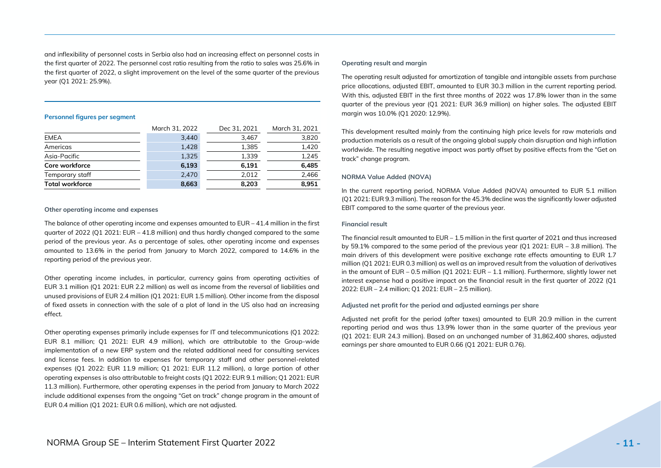and inflexibility of personnel costs in Serbia also had an increasing effect on personnel costs in the first quarter of 2022. The personnel cost ratio resulting from the ratio to sales was 25.6% in the first quarter of 2022, a slight improvement on the level of the same quarter of the previous year (Q1 2021: 25.9%).

#### **Personnel figures per segment**

|                        | March 31, 2022 | Dec 31, 2021 | March 31, 2021 |
|------------------------|----------------|--------------|----------------|
| <b>EMEA</b>            | 3,440          | 3.467        | 3,820          |
| Americas               | 1,428          | 1,385        | 1,420          |
| Asia-Pacific           | 1,325          | 1.339        | 1.245          |
| Core workforce         | 6.193          | 6,191        | 6.485          |
| Temporary staff        | 2.470          | 2,012        | 2,466          |
| <b>Total workforce</b> | 8,663          | 8.203        | 8.951          |

#### **Other operating income and expenses**

The balance of other operating income and expenses amounted to EUR – 41.4 million in the first quarter of  $2022$  (O1 2021: EUR – 41.8 million) and thus hardly changed compared to the same period of the previous year. As a percentage of sales, other operating income and expenses amounted to 13.6% in the period from January to March 2022, compared to 14.6% in the reporting period of the previous year.

Other operating income includes, in particular, currency gains from operating activities of EUR 3.1 million (Q1 2021: EUR 2.2 million) as well as income from the reversal of liabilities and unused provisions of EUR 2.4 million (Q1 2021: EUR 1.5 million). Other income from the disposal of fixed assets in connection with the sale of a plot of land in the US also had an increasing effect.

Other operating expenses primarily include expenses for IT and telecommunications (Q1 2022: EUR 8.1 million; Q1 2021: EUR 4.9 million), which are attributable to the Group-wide implementation of a new ERP system and the related additional need for consulting services and license fees. In addition to expenses for temporary staff and other personnel-related expenses (Q1 2022: EUR 11.9 million; Q1 2021: EUR 11.2 million), a large portion of other operating expenses is also attributable to freight costs (Q1 2022: EUR 9.1 million; Q1 2021: EUR 11.3 million). Furthermore, other operating expenses in the period from January to March 2022 include additional expenses from the ongoing "Get on track" change program in the amount of EUR 0.4 million (Q1 2021: EUR 0.6 million), which are not adjusted.

#### **Operating result and margin**

The operating result adjusted for amortization of tangible and intangible assets from purchase price allocations, adjusted EBIT, amounted to EUR 30.3 million in the current reporting period. With this, adjusted EBIT in the first three months of 2022 was 17.8% lower than in the same quarter of the previous year (Q1 2021: EUR 36.9 million) on higher sales. The adjusted EBIT margin was 10.0% (Q1 2020: 12.9%).

This development resulted mainly from the continuing high price levels for raw materials and production materials as a result of the ongoing global supply chain disruption and high inflation worldwide. The resulting negative impact was partly offset by positive effects from the "Get on track" change program.

#### **NORMA Value Added (NOVA)**

In the current reporting period, NORMA Value Added (NOVA) amounted to EUR 5.1 million (Q1 2021: EUR 9.3 million). The reason for the 45.3% decline was the significantly lower adjusted EBIT compared to the same quarter of the previous year.

#### **Financial result**

The financial result amounted to  $EUR - 1.5$  million in the first quarter of 2021 and thus increased by 59.1% compared to the same period of the previous year (Q1 2021: EUR – 3.8 million). The main drivers of this development were positive exchange rate effects amounting to EUR 1.7 million (Q1 2021: EUR 0.3 million) as well as an improved result from the valuation of derivatives in the amount of EUR – 0.5 million (Q1 2021: EUR – 1.1 million). Furthermore, slightly lower net interest expense had a positive impact on the financial result in the first quarter of 2022 (Q1 2022: EUR – 2.4 million; Q1 2021: EUR – 2.5 million).

#### **Adjusted net profit for the period and adjusted earnings per share**

Adjusted net profit for the period (after taxes) amounted to EUR 20.9 million in the current reporting period and was thus 13.9% lower than in the same quarter of the previous year (Q1 2021: EUR 24.3 million). Based on an unchanged number of 31,862,400 shares, adjusted earnings per share amounted to EUR 0.66 (Q1 2021: EUR 0.76).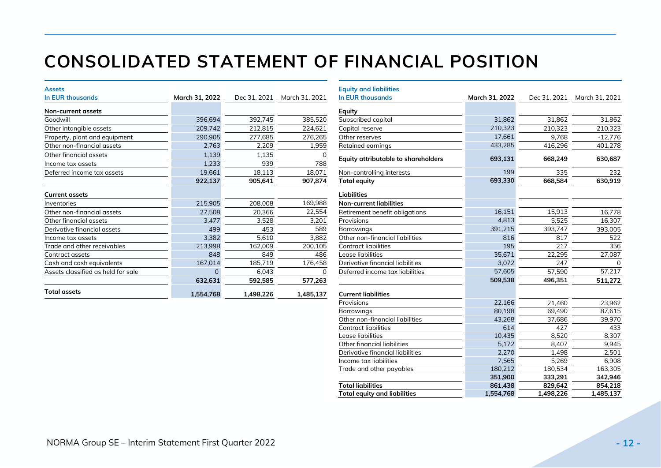# **CONSOLIDATED STATEMENT OF FINANCIAL POSITION**

| <b>Assets</b>                      |                |              |                | <b>Equity and liabilities</b>              |                |              |                |
|------------------------------------|----------------|--------------|----------------|--------------------------------------------|----------------|--------------|----------------|
| <b>In EUR thousands</b>            | March 31, 2022 | Dec 31, 2021 | March 31, 2021 | <b>In EUR thousands</b>                    | March 31, 2022 | Dec 31, 2021 | March 31, 2021 |
| Non-current assets                 |                |              |                | Equity                                     |                |              |                |
| Goodwill                           | 396,694        | 392,745      | 385,520        | Subscribed capital                         | 31,862         | 31,862       | 31,862         |
| Other intangible assets            | 209,742        | 212,815      | 224,621        | Capital reserve                            | 210,323        | 210,323      | 210,323        |
| Property, plant and equipment      | 290,905        | 277,685      | 276,265        | Other reserves                             | 17,661         | 9,768        | $-12,776$      |
| Other non-financial assets         | 2,763          | 2,209        | 1,959          | Retained earnings                          | 433,285        | 416,296      | 401,278        |
| Other financial assets             | 1,139          | 1,135        |                | <b>Equity attributable to shareholders</b> | 693,131        | 668,249      | 630,687        |
| Income tax assets                  | 1,233          | 939          | 788            |                                            |                |              |                |
| Deferred income tax assets         | 19,661         | 18,113       | 18,071         | Non-controlling interests                  | 199            | 335          | 232            |
|                                    | 922,137        | 905,641      | 907,874        | Total equity                               | 693,330        | 668,584      | 630,919        |
| <b>Current assets</b>              |                |              |                | <b>Liabilities</b>                         |                |              |                |
| Inventories                        | 215,905        | 208,008      | 169,988        | <b>Non-current liabilities</b>             |                |              |                |
| Other non-financial assets         | 27,508         | 20,366       | 22,554         | Retirement benefit obligations             | 16,151         | 15,913       | 16,778         |
| Other financial assets             | 3,477          | 3,528        | 3,201          | Provisions                                 | 4,813          | 5,525        | 16,307         |
| Derivative financial assets        | 499            | 453          | 589            | <b>Borrowings</b>                          | 391,215        | 393,747      | 393,005        |
| Income tax assets                  | 3,382          | 5,610        | 3,882          | Other non-financial liabilities            | 816            | 817          | 522            |
| Trade and other receivables        | 213,998        | 162,009      | 200,105        | Contract liabilities                       | 195            | 217          | 356            |
| Contract assets                    | 848            | 849          | 486            | Lease liabilities                          | 35,671         | 22,295       | 27,087         |
| Cash and cash equivalents          | 167,014        | 185,719      | 176,458        | Derivative financial liabilities           | 3,072          | 247          |                |
| Assets classified as held for sale |                | 6,043        | 0              | Deferred income tax liabilities            | 57,605         | 57,590       | 57,217         |
|                                    | 632,631        | 592,585      | 577,263        |                                            | 509,538        | 496,351      | 511,272        |
| <b>Total assets</b>                | 1,554,768      | 1,498,226    | 1,485,137      | <b>Current liabilities</b>                 |                |              |                |

|          |              |                | <b>Equity and liabilities</b>              |                |              |                |
|----------|--------------|----------------|--------------------------------------------|----------------|--------------|----------------|
| 31, 2022 | Dec 31, 2021 | March 31, 2021 | <b>In EUR thousands</b>                    | March 31, 2022 | Dec 31, 2021 | March 31, 2021 |
|          |              |                | Equity                                     |                |              |                |
| 396,694  | 392,745      | 385,520        | Subscribed capital                         | 31,862         | 31,862       | 31,862         |
| 209,742  | 212,815      | 224,621        | Capital reserve                            | 210,323        | 210.323      | 210,323        |
| 290,905  | 277,685      | 276,265        | Other reserves                             | 17,661         | 9,768        | $-12,776$      |
| 2,763    | 2,209        | 1,959          | Retained earnings                          | 433,285        | 416,296      | 401,278        |
| 1,139    | 1,135        | 0              | <b>Equity attributable to shareholders</b> | 693,131        | 668,249      | 630,687        |
| 1,233    | 939          | 788            |                                            |                |              |                |
| 19,661   | 18,113       | 18,071         | Non-controlling interests                  | 199            | 335          | 232            |
| 922,137  | 905,641      | 907,874        | <b>Total equity</b>                        | 693,330        | 668,584      | 630,919        |
|          |              |                | <b>Liabilities</b>                         |                |              |                |
| 215,905  | 208,008      | 169,988        | <b>Non-current liabilities</b>             |                |              |                |
| 27,508   | 20,366       | 22,554         | Retirement benefit obligations             | 16,151         | 15,913       | 16,778         |
| 3,477    | 3,528        | 3,201          | Provisions                                 | 4,813          | 5,525        | 16,307         |
| 499      | 453          | 589            | <b>Borrowings</b>                          | 391,215        | 393,747      | 393,005        |
| 3,382    | 5,610        | 3,882          | Other non-financial liabilities            | 816            | 817          | 522            |
| 213,998  | 162,009      | 200,105        | Contract liabilities                       | 195            | 217          | 356            |
| 848      | 849          | 486            | Lease liabilities                          | 35,671         | 22,295       | 27,087         |
| 167,014  | 185,719      | 176,458        | Derivative financial liabilities           | 3,072          | 247          | $\Omega$       |
| $\Omega$ | 6,043        | $\Omega$       | Deferred income tax liabilities            | 57,605         | 57,590       | 57,217         |
| 632,631  | 592,585      | 577,263        |                                            | 509,538        | 496,351      | 511,272        |
| 554,768  | 1,498,226    | 1,485,137      | <b>Current liabilities</b>                 |                |              |                |
|          |              |                | Provisions                                 | 22,166         | 21,460       | 23,962         |
|          |              |                | <b>Borrowings</b>                          | 80,198         | 69,490       | 87,615         |
|          |              |                | Other non-financial liabilities            | 43,268         | 37,686       | 39,970         |
|          |              |                | Contract liabilities                       | 614            | 427          | 433            |
|          |              |                | Lease liabilities                          | 10,435         | 8,520        | 8,307          |
|          |              |                | Other financial liabilities                | 5,172          | 8,407        | 9,945          |
|          |              |                | Derivative financial liabilities           | 2,270          | 1,498        | 2,501          |
|          |              |                | Income tax liabilities                     | 7,565          | 5,269        | 6,908          |
|          |              |                | Trade and other payables                   | 180,212        | 180,534      | 163,305        |
|          |              |                |                                            | 351,900        | 333,291      | 342,946        |
|          |              |                | <b>Total liabilities</b>                   | 861,438        | 829,642      | 854,218        |
|          |              |                | <b>Total equity and liabilities</b>        | 1,554,768      | 1,498,226    | 1,485,137      |
|          |              |                |                                            |                |              |                |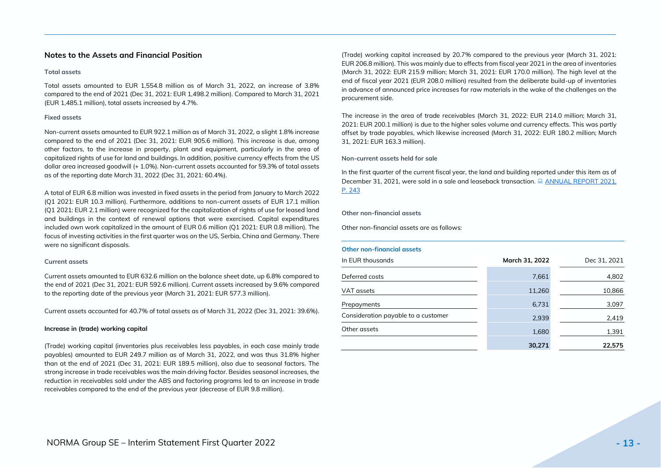### <span id="page-12-0"></span>**Notes to the Assets and Financial Position**

#### **Total assets**

Total assets amounted to EUR 1,554.8 million as of March 31, 2022, an increase of 3.8% compared to the end of 2021 (Dec 31, 2021: EUR 1,498.2 million). Compared to March 31, 2021 (EUR 1,485.1 million), total assets increased by 4.7%.

#### **Fixed assets**

Non-current assets amounted to EUR 922.1 million as of March 31, 2022, a slight 1.8% increase compared to the end of 2021 (Dec 31, 2021: EUR 905.6 million). This increase is due, among other factors, to the increase in property, plant and equipment, particularly in the area of capitalized rights of use for land and buildings. In addition, positive currency effects from the US dollar area increased goodwill (+ 1.0%). Non-current assets accounted for 59.3% of total assets as of the reporting date March 31, 2022 (Dec 31, 2021: 60.4%).

A total of EUR 6.8 million was invested in fixed assets in the period from January to March 2022 (Q1 2021: EUR 10.3 million). Furthermore, additions to non-current assets of EUR 17.1 million (Q1 2021: EUR 2.1 million) were recognized for the capitalization of rights of use for leased land and buildings in the context of renewal options that were exercised. Capital expenditures included own work capitalized in the amount of EUR 0.6 million (Q1 2021: EUR 0.8 million). The focus of investing activities in the first quarter was on the US, Serbia, China and Germany. There were no significant disposals.

#### **Current assets**

Current assets amounted to EUR 632.6 million on the balance sheet date, up 6.8% compared to the end of 2021 (Dec 31, 2021: EUR 592.6 million). Current assets increased by 9.6% compared to the reporting date of the previous year (March 31, 2021: EUR 577.3 million).

Current assets accounted for 40.7% of total assets as of March 31, 2022 (Dec 31, 2021: 39.6%).

#### **Increase in (trade) working capital**

(Trade) working capital (inventories plus receivables less payables, in each case mainly trade payables) amounted to EUR 249.7 million as of March 31, 2022, and was thus 31.8% higher than at the end of 2021 (Dec 31, 2021: EUR 189.5 million), also due to seasonal factors. The strong increase in trade receivables was the main driving factor. Besides seasonal increases, the reduction in receivables sold under the ABS and factoring programs led to an increase in trade receivables compared to the end of the previous year (decrease of EUR 9.8 million).

(Trade) working capital increased by 20.7% compared to the previous year (March 31, 2021: EUR 206.8 million). This was mainly due to effects from fiscal year 2021 in the area of inventories (March 31, 2022: EUR 215.9 million; March 31, 2021: EUR 170.0 million). The high level at the end of fiscal year 2021 (EUR 208.0 million) resulted from the deliberate build-up of inventories in advance of announced price increases for raw materials in the wake of the challenges on the procurement side.

The increase in the area of trade receivables (March 31, 2022: EUR 214.0 million; March 31, 2021: EUR 200.1 million) is due to the higher sales volume and currency effects. This was partly offset by trade payables, which likewise increased (March 31, 2022: EUR 180.2 million; March 31, 2021: EUR 163.3 million).

#### **Non-current assets held for sale**

In the first quarter of the current fiscal year, the land and building reported under this item as of December 31, 2021, were sold in a sale and leaseback transaction.  $\Box$  ANNUAL REPORT 2021. [P. 243](https://www.normagroup.com/norma.nsf/res/NORMA-Group-FY-2021-AR-en.pdf/$file/NORMA-Group-FY-2021-AR-en.pdf)

#### **Other non-financial assets**

Other non-financial assets are as follows:

#### **Other non-financial assets**

| In EUR thousands                    | March 31, 2022 | Dec 31, 2021 |
|-------------------------------------|----------------|--------------|
| Deferred costs                      | 7,661          | 4,802        |
| VAT assets                          | 11,260         | 10,866       |
| Prepayments                         | 6,731          | 3,097        |
| Consideration payable to a customer | 2,939          | 2,419        |
| Other assets                        | 1,680          | 1,391        |
|                                     | 30,271         | 22,575       |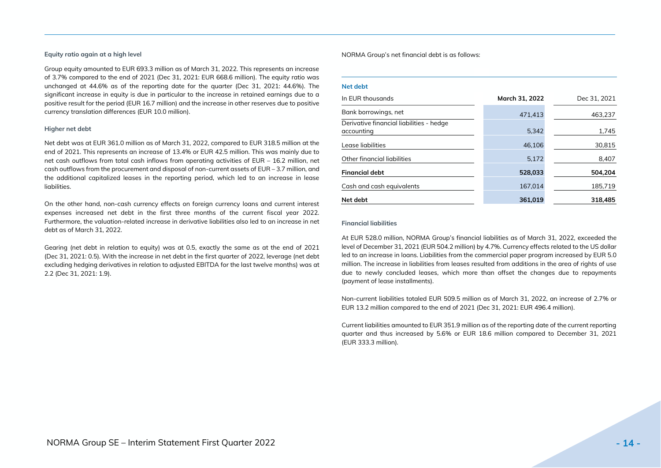#### **Equity ratio again at a high level**

Group equity amounted to EUR 693.3 million as of March 31, 2022. This represents an increase of 3.7% compared to the end of 2021 (Dec 31, 2021: EUR 668.6 million). The equity ratio was unchanged at 44.6% as of the reporting date for the quarter (Dec 31, 2021: 44.6%). The significant increase in equity is due in particular to the increase in retained earnings due to a positive result for the period (EUR 16.7 million) and the increase in other reserves due to positive currency translation differences (EUR 10.0 million).

#### **Higher net debt**

Net debt was at EUR 361.0 million as of March 31, 2022, compared to EUR 318.5 million at the end of 2021. This represents an increase of 13.4% or EUR 42.5 million. This was mainly due to net cash outflows from total cash inflows from operating activities of EUR – 16.2 million, net cash outflows from the procurement and disposal of non-current assets of EUR – 3.7 million, and the additional capitalized leases in the reporting period, which led to an increase in lease liabilities.

On the other hand, non-cash currency effects on foreign currency loans and current interest expenses increased net debt in the first three months of the current fiscal year 2022. Furthermore, the valuation-related increase in derivative liabilities also led to an increase in net debt as of March 31, 2022.

Gearing (net debt in relation to equity) was at 0.5, exactly the same as at the end of 2021 (Dec 31, 2021: 0.5). With the increase in net debt in the first quarter of 2022, leverage (net debt excluding hedging derivatives in relation to adjusted EBITDA for the last twelve months) was at 2.2 (Dec 31, 2021: 1.9).

NORMA Group's net financial debt is as follows:

#### **Net debt**

| In EUR thousands                                       | March 31, 2022 | Dec 31, 2021 |
|--------------------------------------------------------|----------------|--------------|
| Bank borrowings, net                                   | 471.413        | 463,237      |
| Derivative financial liabilities - hedge<br>accounting | 5,342          | 1,745        |
| Lease liabilities                                      | 46,106         | 30,815       |
| Other financial liabilities                            | 5.172          | 8,407        |
| <b>Financial debt</b>                                  | 528,033        | 504.204      |
| Cash and cash equivalents                              | 167,014        | 185,719      |
| Net debt                                               | 361.019        | 318,485      |

#### **Financial liabilities**

At EUR 528.0 million, NORMA Group's financial liabilities as of March 31, 2022, exceeded the level of December 31, 2021 (EUR 504.2 million) by 4.7%. Currency effects related to the US dollar led to an increase in loans. Liabilities from the commercial paper program increased by EUR 5.0 million. The increase in liabilities from leases resulted from additions in the area of rights of use due to newly concluded leases, which more than offset the changes due to repayments (payment of lease installments).

Non-current liabilities totaled EUR 509.5 million as of March 31, 2022, an increase of 2.7% or EUR 13.2 million compared to the end of 2021 (Dec 31, 2021: EUR 496.4 million).

Current liabilities amounted to EUR 351.9 million as of the reporting date of the current reporting quarter and thus increased by 5.6% or EUR 18.6 million compared to December 31, 2021 (EUR 333.3 million).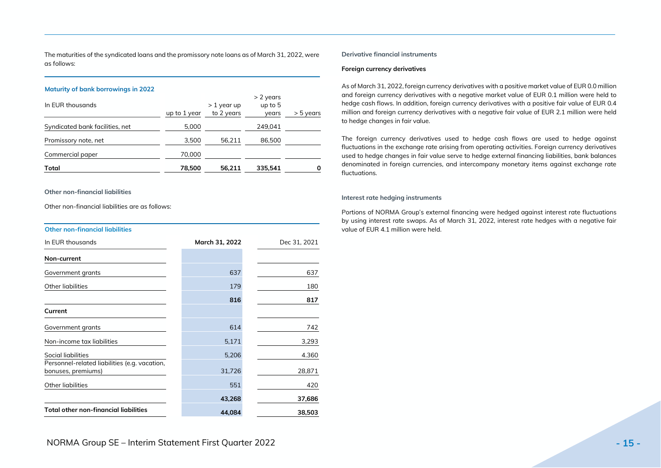The maturities of the syndicated loans and the promissory note loans as of March 31, 2022, were as follows:

#### **Maturity of bank borrowings in 2022**

| Total                           | 78,500       | 56.211                     | 335.541                           | 0           |
|---------------------------------|--------------|----------------------------|-----------------------------------|-------------|
| Commercial paper                | 70,000       |                            |                                   |             |
| Promissory note, net            | 3,500        | 56,211                     | 86,500                            |             |
| Syndicated bank facilities, net | 5,000        |                            | 249,041                           |             |
| In EUR thousands                | up to 1 year | $>1$ year up<br>to 2 years | $> 2$ years<br>up to $5$<br>years | $>$ 5 years |

#### **Other non-financial liabilities**

Other non-financial liabilities are as follows:

#### **Other non-financial liabilities**

| In EUR thousands                                                    | March 31, 2022 | Dec 31, 2021 |
|---------------------------------------------------------------------|----------------|--------------|
| Non-current                                                         |                |              |
| Government grants                                                   | 637            | 637          |
| Other liabilities                                                   | 179            | 180          |
|                                                                     | 816            | 817          |
| Current                                                             |                |              |
| Government grants                                                   | 614            | 742          |
| Non-income tax liabilities                                          | 5,171          | 3,293        |
| Social liabilities                                                  | 5,206          | 4.360        |
| Personnel-related liabilities (e.g. vacation,<br>bonuses, premiums) | 31,726         | 28,871       |
| Other liabilities                                                   | 551            | 420          |
|                                                                     | 43,268         | 37,686       |
| <b>Total other non-financial liabilities</b>                        | 44,084         | 38,503       |

#### **Derivative financial instruments**

#### **Foreign currency derivatives**

As of March 31, 2022, foreign currency derivatives with a positive market value of EUR 0.0 million and foreign currency derivatives with a negative market value of EUR 0.1 million were held to hedge cash flows. In addition, foreign currency derivatives with a positive fair value of EUR 0.4 million and foreign currency derivatives with a negative fair value of EUR 2.1 million were held to hedge changes in fair value.

The foreign currency derivatives used to hedge cash flows are used to hedge against fluctuations in the exchange rate arising from operating activities. Foreign currency derivatives used to hedge changes in fair value serve to hedge external financing liabilities, bank balances denominated in foreign currencies, and intercompany monetary items against exchange rate fluctuations.

#### **Interest rate hedging instruments**

Portions of NORMA Group's external financing were hedged against interest rate fluctuations by using interest rate swaps. As of March 31, 2022, interest rate hedges with a negative fair value of EUR 4.1 million were held.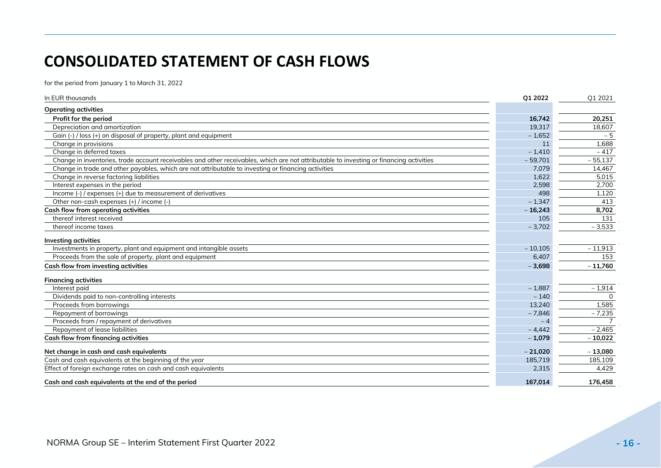## **CONSOLIDATED STATEMENT OF CASH FLOWS**

for the period from January 1 to March 31, 2022

| In EUR thousands                                                                                                                        | Q1 2022   | Q1 2021   |
|-----------------------------------------------------------------------------------------------------------------------------------------|-----------|-----------|
| <b>Operating activities</b>                                                                                                             |           |           |
| Profit for the period                                                                                                                   | 16.742    | 20.251    |
| Depreciation and amortization                                                                                                           | 19,317    | 18,607    |
| Gain (-) / loss (+) on disposal of property, plant and equipment                                                                        | $-1,652$  | $-5$      |
| Change in provisions                                                                                                                    | 11        | 1,688     |
| Change in deferred taxes                                                                                                                | $-1,410$  | $-417$    |
| Change in inventories, trade account receivables and other receivables, which are not attributable to investing or financing activities | $-59,701$ | $-55.137$ |
| Change in trade and other payables, which are not attributable to investing or financing activities                                     | 7,079     | 14,467    |
| Change in reverse factoring liabilities                                                                                                 | 1,622     | 5,015     |
| Interest expenses in the period                                                                                                         | 2,598     | 2,700     |
| Income (-) / expenses (+) due to measurement of derivatives                                                                             | 498       | 1,120     |
| Other non-cash expenses (+) / income (-)                                                                                                | $-1,347$  | 413       |
| Cash flow from operating activities                                                                                                     | $-16,243$ | 8,702     |
| thereof interest received                                                                                                               | 105       | 131       |
| thereof income taxes                                                                                                                    | $-3,702$  | $-3,533$  |
| <b>Investing activities</b>                                                                                                             |           |           |
| Investments in property, plant and equipment and intangible assets                                                                      | $-10.105$ | $-11,913$ |
| Proceeds from the sale of property, plant and equipment                                                                                 | 6,407     | 153       |
| Cash flow from investing activities                                                                                                     | $-3,698$  | $-11,760$ |
| <b>Financing activities</b>                                                                                                             |           |           |
| Interest paid                                                                                                                           | $-1.887$  | $-1,914$  |
| Dividends paid to non-controlling interests                                                                                             | $-140$    |           |
| Proceeds from borrowings                                                                                                                | 13.240    | 1,585     |
| Repayment of borrowings                                                                                                                 | $-7,846$  | $-7,235$  |
| Proceeds from / repayment of derivatives                                                                                                | $-4$      |           |
| Repayment of lease liabilities                                                                                                          | $-4,442$  | $-2,465$  |
| Cash flow from financing activities                                                                                                     | $-1,079$  | $-10,022$ |
| Net change in cash and cash equivalents                                                                                                 | $-21,020$ | $-13,080$ |
| Cash and cash equivalents at the beginning of the year                                                                                  | 185,719   | 185,109   |
| Effect of foreign exchange rates on cash and cash equivalents                                                                           | 2,315     | 4,429     |
| Cash and cash equivalents at the end of the period                                                                                      | 167.014   | 176,458   |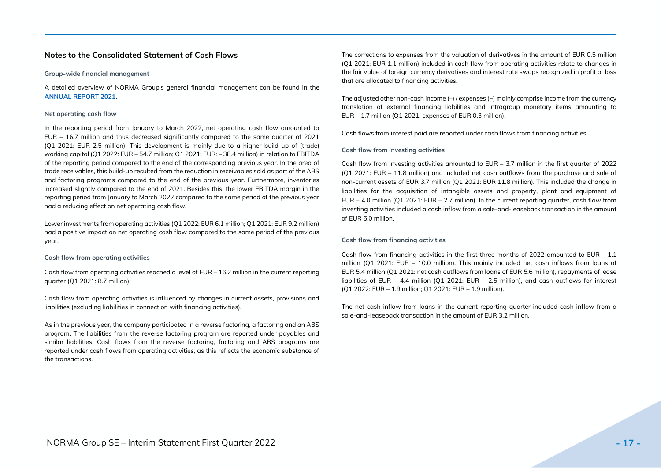### <span id="page-16-0"></span>**Notes to the Consolidated Statement of Cash Flows**

#### **Group-wide financial management**

A detailed overview of NORMA Group's general financial management can be found in the **[ANNUAL REPORT 2021](https://www.normagroup.com/norma.nsf/res/NORMA-Group-FY-2021-AR-en.pdf/$file/NORMA-Group-FY-2021-AR-en.pdf)**.

#### **Net operating cash flow**

In the reporting period from January to March 2022, net operating cash flow amounted to EUR – 16.7 million and thus decreased significantly compared to the same quarter of 2021 (Q1 2021: EUR 2.5 million). This development is mainly due to a higher build-up of (trade) working capital (Q1 2022: EUR – 54.7 million; Q1 2021: EUR: – 38.4 million) in relation to EBITDA of the reporting period compared to the end of the corresponding previous year. In the area of trade receivables, this build-up resulted from the reduction in receivables sold as part of the ABS and factoring programs compared to the end of the previous year. Furthermore, inventories increased slightly compared to the end of 2021. Besides this, the lower EBITDA margin in the reporting period from January to March 2022 compared to the same period of the previous year had a reducing effect on net operating cash flow.

Lower investments from operating activities (Q1 2022: EUR 6.1 million; Q1 2021: EUR 9.2 million) had a positive impact on net operating cash flow compared to the same period of the previous year.

#### **Cash flow from operating activities**

Cash flow from operating activities reached a level of EUR – 16.2 million in the current reporting quarter (Q1 2021: 8.7 million).

Cash flow from operating activities is influenced by changes in current assets, provisions and liabilities (excluding liabilities in connection with financing activities).

As in the previous year, the company participated in a reverse factoring, a factoring and an ABS program. The liabilities from the reverse factoring program are reported under payables and similar liabilities. Cash flows from the reverse factoring, factoring and ABS programs are reported under cash flows from operating activities, as this reflects the economic substance of the transactions.

The corrections to expenses from the valuation of derivatives in the amount of EUR 0.5 million (Q1 2021: EUR 1.1 million) included in cash flow from operating activities relate to changes in the fair value of foreign currency derivatives and interest rate swaps recognized in profit or loss that are allocated to financing activities.

The adjusted other non-cash income (–) / expenses (+) mainly comprise income from the currency translation of external financing liabilities and intragroup monetary items amounting to EUR – 1.7 million (Q1 2021: expenses of EUR 0.3 million).

Cash flows from interest paid are reported under cash flows from financing activities.

#### **Cash flow from investing activities**

Cash flow from investing activities amounted to EUR – 3.7 million in the first quarter of 2022 (Q1 2021: EUR – 11.8 million) and included net cash outflows from the purchase and sale of non-current assets of EUR 3.7 million (Q1 2021: EUR 11.8 million). This included the change in liabilities for the acquisition of intangible assets and property, plant and equipment of EUR – 4.0 million (Q1 2021: EUR – 2.7 million). In the current reporting quarter, cash flow from investing activities included a cash inflow from a sale-and-leaseback transaction in the amount of EUR 6.0 million.

#### **Cash flow from financing activities**

Cash flow from financing activities in the first three months of 2022 amounted to  $EUR - 1.1$ million (Q1 2021: EUR – 10.0 million). This mainly included net cash inflows from loans of EUR 5.4 million (Q1 2021: net cash outflows from loans of EUR 5.6 million), repayments of lease liabilities of EUR – 4.4 million (Q1 2021: EUR – 2.5 million), and cash outflows for interest (Q1 2022: EUR – 1.9 million; Q1 2021: EUR – 1.9 million).

The net cash inflow from loans in the current reporting quarter included cash inflow from a sale-and-leaseback transaction in the amount of EUR 3.2 million.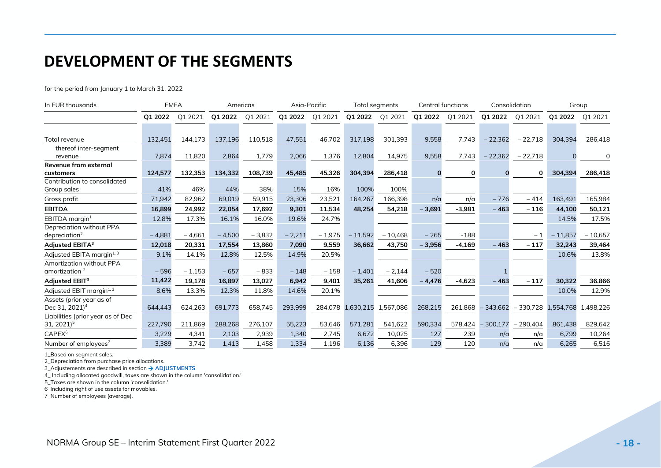## <span id="page-17-0"></span>**DEVELOPMENT OF THE SEGMENTS**

for the period from January 1 to March 31, 2022

| In EUR thousands                      |          | <b>EMEA</b> |          | Americas |          | Asia-Pacific |           | Total segments |          | <b>Central functions</b> |            | Consolidation |           | Group     |
|---------------------------------------|----------|-------------|----------|----------|----------|--------------|-----------|----------------|----------|--------------------------|------------|---------------|-----------|-----------|
|                                       | 01 2022  | Q1 2021     | Q1 2022  | Q1 2021  | Q1 2022  | Q1 2021      | Q1 2022   | Q1 2021        | Q1 2022  | Q1 2021                  | Q1 2022    | Q1 2021       | Q1 2022   | Q1 2021   |
|                                       |          |             |          |          |          |              |           |                |          |                          |            |               |           |           |
| Total revenue                         | 132,451  | 144,173     | 137,196  | 110,518  | 47,551   | 46,702       | 317,198   | 301,393        | 9,558    | 7,743                    | $-22,362$  | $-22,718$     | 304,394   | 286,418   |
| thereof inter-segment                 |          |             |          |          |          |              |           |                |          |                          |            |               |           |           |
| revenue                               | 7,874    | 11,820      | 2,864    | 1,779    | 2,066    | 1,376        | 12,804    | 14,975         | 9,558    | 7,743                    | $-22,362$  | $-22,718$     |           |           |
| <b>Revenue from external</b>          |          |             |          |          |          |              |           |                |          |                          |            |               |           |           |
| customers                             | 124,577  | 132,353     | 134,332  | 108,739  | 45,485   | 45,326       | 304,394   | 286,418        |          | 0                        |            | 0             | 304,394   | 286,418   |
| Contribution to consolidated          |          |             |          |          |          |              |           |                |          |                          |            |               |           |           |
| Group sales                           | 41%      | 46%         | 44%      | 38%      | 15%      | 16%          | 100%      | 100%           |          |                          |            |               |           |           |
| Gross profit                          | 71,942   | 82,962      | 69,019   | 59,915   | 23,306   | 23,521       | 164,267   | 166,398        | n/a      | n/a                      | $-776$     | $-414$        | 163,491   | 165,984   |
| <b>EBITDA</b>                         | 16,899   | 24,992      | 22,054   | 17,692   | 9,301    | 11,534       | 48,254    | 54,218         | $-3,691$ | $-3,981$                 | $-463$     | $-116$        | 44,100    | 50,121    |
| EBITDA margin <sup>1</sup>            | 12.8%    | 17.3%       | 16.1%    | 16.0%    | 19.6%    | 24.7%        |           |                |          |                          |            |               | 14.5%     | 17.5%     |
| Depreciation without PPA              |          |             |          |          |          |              |           |                |          |                          |            |               |           |           |
| depreciation <sup>2</sup>             | $-4,881$ | $-4,661$    | $-4,500$ | $-3,832$ | $-2,211$ | $-1,975$     | $-11,592$ | $-10,468$      | $-265$   | $-188$                   |            | $-1$          | $-11,857$ | $-10,657$ |
| Adjusted EBITA <sup>3</sup>           | 12,018   | 20,331      | 17,554   | 13,860   | 7,090    | 9,559        | 36,662    | 43,750         | $-3,956$ | $-4,169$                 | $-463$     | $-117$        | 32,243    | 39,464    |
| Adjusted EBITA margin <sup>1, 3</sup> | 9.1%     | 14.1%       | 12.8%    | 12.5%    | 14.9%    | 20.5%        |           |                |          |                          |            |               | 10.6%     | 13.8%     |
| Amortization without PPA              |          |             |          |          |          |              |           |                |          |                          |            |               |           |           |
| amortization <sup>2</sup>             | $-596$   | $-1,153$    | $-657$   | $-833$   | $-148$   | $-158$       | $-1,401$  | $-2,144$       | $-520$   |                          |            |               |           |           |
| Adjusted EBIT <sup>3</sup>            | 11,422   | 19,178      | 16,897   | 13,027   | 6,942    | 9,401        | 35,261    | 41,606         | $-4,476$ | $-4,623$                 | $-463$     | $-117$        | 30,322    | 36.866    |
| Adjusted EBIT margin <sup>1, 3</sup>  | 8.6%     | 13.3%       | 12.3%    | 11.8%    | 14.6%    | 20.1%        |           |                |          |                          |            |               | 10.0%     | 12.9%     |
| Assets (prior year as of              |          |             |          |          |          |              |           |                |          |                          |            |               |           |           |
| Dec 31, 2021) <sup>4</sup>            | 644,443  | 624,263     | 691,773  | 658,745  | 293,999  | 284,078      | 1,630,215 | 1,567,086      | 268,215  | 261,868                  | $-343,662$ | $-330,728$    | 1,554,768 | 1,498,226 |
| Liabilities (prior year as of Dec     |          |             |          |          |          |              |           |                |          |                          |            |               |           |           |
| 31, 2021) <sup>5</sup>                | 227.790  | 211,869     | 288,268  | 276,107  | 55.223   | 53,646       | 571,281   | 541,622        | 590.334  | 578,424                  | $-300,177$ | $-290,404$    | 861.438   | 829,642   |
| CAPEX <sup>6</sup>                    | 3,229    | 4,341       | 2,103    | 2,939    | 1,340    | 2,745        | 6,672     | 10,025         | 127      | 239                      | n/a        | n/a           | 6.799     | 10,264    |
| Number of employees <sup>7</sup>      | 3,389    | 3.742       | 1,413    | 1.458    | 1.334    | 1.196        | 6.136     | 6.396          | 129      | 120                      | n/a        | n/a           | 6.265     | 6,516     |

1\_Based on segment sales.

2\_Depreciation from purchase price allocations.

3\_Adjustements are described in section → **[ADJUSTMENTS](#page-8-0)**.

4\_ Including allocated goodwill, taxes are shown in the column 'consolidation.'

5\_Taxes are shown in the column 'consolidation.'

6\_Including right of use assets for movables.

7\_Number of employees (average).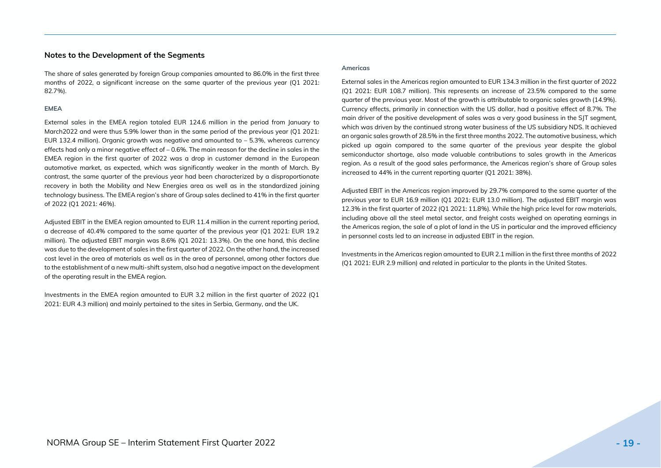#### <span id="page-18-0"></span>**Notes to the Development of the Segments**

The share of sales generated by foreign Group companies amounted to 86.0% in the first three months of 2022, a significant increase on the same quarter of the previous year (O1 2021: 82.7%).

#### **EMEA**

External sales in the EMEA region totaled EUR 124.6 million in the period from January to March2022 and were thus 5.9% lower than in the same period of the previous year (Q1 2021: EUR 132.4 million). Organic growth was negative and amounted to – 5.3%, whereas currency effects had only a minor negative effect of  $-0.6%$ . The main reason for the decline in sales in the EMEA region in the first quarter of 2022 was a drop in customer demand in the European automotive market, as expected, which was significantly weaker in the month of March. By contrast, the same quarter of the previous year had been characterized by a disproportionate recovery in both the Mobility and New Energies area as well as in the standardized joining technology business. The EMEA region's share of Group sales declined to 41% in the first quarter of 2022 (Q1 2021: 46%).

Adjusted EBIT in the EMEA region amounted to EUR 11.4 million in the current reporting period, a decrease of 40.4% compared to the same quarter of the previous year (Q1 2021: EUR 19.2 million). The adjusted EBIT margin was 8.6% (Q1 2021: 13.3%). On the one hand, this decline was due to the development of sales in the first quarter of 2022. On the other hand, the increased cost level in the area of materials as well as in the area of personnel, among other factors due to the establishment of a new multi-shift system, also had a negative impact on the development of the operating result in the EMEA region.

Investments in the EMEA region amounted to EUR 3.2 million in the first quarter of 2022 (Q1 2021: EUR 4.3 million) and mainly pertained to the sites in Serbia, Germany, and the UK.

#### **Americas**

External sales in the Americas region amounted to EUR 134.3 million in the first quarter of 2022 (Q1 2021: EUR 108.7 million). This represents an increase of 23.5% compared to the same quarter of the previous year. Most of the growth is attributable to organic sales growth (14.9%). Currency effects, primarily in connection with the US dollar, had a positive effect of 8.7%. The main driver of the positive development of sales was a very good business in the SJT segment, which was driven by the continued strong water business of the US subsidiary NDS. It achieved an organic sales growth of 28.5% in the first three months 2022. The automotive business, which picked up again compared to the same quarter of the previous year despite the global semiconductor shortage, also made valuable contributions to sales growth in the Americas region. As a result of the good sales performance, the Americas region's share of Group sales increased to 44% in the current reporting quarter (Q1 2021: 38%).

Adjusted EBIT in the Americas region improved by 29.7% compared to the same quarter of the previous year to EUR 16.9 million (Q1 2021: EUR 13.0 million). The adjusted EBIT margin was 12.3% in the first quarter of 2022 (Q1 2021: 11.8%). While the high price level for raw materials, including above all the steel metal sector, and freight costs weighed on operating earnings in the Americas region, the sale of a plot of land in the US in particular and the improved efficiency in personnel costs led to an increase in adjusted EBIT in the region.

Investments in the Americas region amounted to EUR 2.1 million in the first three months of 2022 (Q1 2021: EUR 2.9 million) and related in particular to the plants in the United States.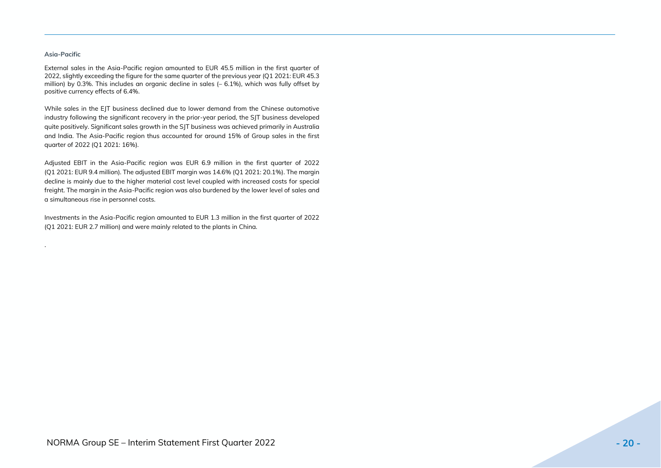#### **Asia-Pacific**

.

External sales in the Asia-Pacific region amounted to EUR 45.5 million in the first quarter of 2022, slightly exceeding the figure for the same quarter of the previous year (Q1 2021: EUR 45.3 million) by 0.3%. This includes an organic decline in sales (– 6.1%), which was fully offset by positive currency effects of 6.4%.

While sales in the EJT business declined due to lower demand from the Chinese automotive industry following the significant recovery in the prior-year period, the SJT business developed quite positively. Significant sales growth in the SJT business was achieved primarily in Australia and India. The Asia-Pacific region thus accounted for around 15% of Group sales in the first quarter of 2022 (Q1 2021: 16%).

Adjusted EBIT in the Asia-Pacific region was EUR 6.9 million in the first quarter of 2022 (Q1 2021: EUR 9.4 million). The adjusted EBIT margin was 14.6% (Q1 2021: 20.1%). The margin decline is mainly due to the higher material cost level coupled with increased costs for special freight. The margin in the Asia-Pacific region was also burdened by the lower level of sales and a simultaneous rise in personnel costs.

Investments in the Asia-Pacific region amounted to EUR 1.3 million in the first quarter of 2022 (Q1 2021: EUR 2.7 million) and were mainly related to the plants in China.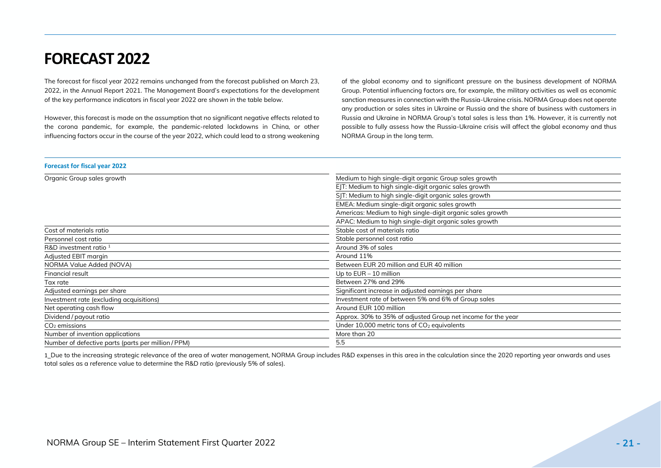## <span id="page-20-0"></span>**FORECAST 2022**

The forecast for fiscal year 2022 remains unchanged from the forecast published on March 23, 2022, in the Annual Report 2021. The Management Board's expectations for the development of the key performance indicators in fiscal year 2022 are shown in the table below.

However, this forecast is made on the assumption that no significant negative effects related to the corona pandemic, for example, the pandemic-related lockdowns in China, or other influencing factors occur in the course of the year 2022, which could lead to a strong weakening of the global economy and to significant pressure on the business development of NORMA Group. Potential influencing factors are, for example, the military activities as well as economic sanction measures in connection with the Russia-Ukraine crisis. NORMA Group does not operate any production or sales sites in Ukraine or Russia and the share of business with customers in Russia and Ukraine in NORMA Group's total sales is less than 1%. However, it is currently not possible to fully assess how the Russia-Ukraine crisis will affect the global economy and thus NORMA Group in the long term.

### **Forecast for fiscal year 2022** Organic Group sales growth Theorem and Theorem and Theorem and Medium to high single-digit organic Group sales growth EJT: Medium to high single-digit organic sales growth SIT: Medium to high single-digit organic sales growth EMEA: Medium single-digit organic sales growth Americas: Medium to high single-digit organic sales growth APAC: Medium to high single-digit organic sales growth Cost of materials ratio Cost of materials ratio Cost of materials ratio Cost of materials ratio Personnel cost ratio Stable personnel cost ratio R&D investment ratio <sup>1</sup> Around 3% of sales Adjusted EBIT margin **Around 11%** Around 11% NORMA Value Added (NOVA) **Between EUR 20 million and EUR 40 million** Financial result Up to EUR – 10 million Tax rate Between 27% and 29% Adjusted earnings per share Significant increase in adjusted earnings per share Investment rate (excluding acquisitions) **Investment rate of between 5% and 6% of Group sales** Net operating cash flow Around EUR 100 million Dividend / payout ratio and the year and the year Approx. 30% to 35% of adjusted Group net income for the year  $CO<sub>2</sub>$  emissions CO<sub>2</sub> emissions CO<sub>2</sub> equivalents Number of invention applications More than 20 Number of defective parts (parts per million / PPM) 5.5

1 Due to the increasing strategic relevance of the area of water management, NORMA Group includes R&D expenses in this area in the calculation since the 2020 reporting year onwards and uses total sales as a reference value to determine the R&D ratio (previously 5% of sales).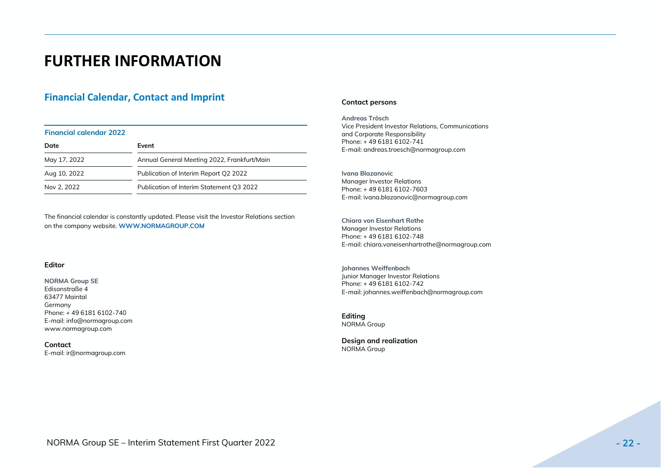## <span id="page-21-0"></span>**FURTHER INFORMATION**

## **Financial Calendar, Contact and Imprint**

#### **Financial calendar 2022**

| Date         | Event                                       |
|--------------|---------------------------------------------|
| May 17, 2022 | Annual General Meeting 2022, Frankfurt/Main |
| Aug 10, 2022 | Publication of Interim Report Q2 2022       |
| Nov 2, 2022  | Publication of Interim Statement Q3 2022    |

The financial calendar is constantly updated. Please visit the Investor Relations section on the company website. **[WWW.NORMAGROUP.COM](https://www.normagroup.com/corp/en/investors/publications-events/financial-calendar/)**

#### **Editor**

**NORMA Group SE** Edisonstraße 4 63477 Maintal Germany Phone: + 49 6181 6102-740 E-mail: info@normagroup.com [www.normagroup.com](http://www.normagroup.com/)

**Contact** E-mail[: ir@normagroup.com](mailto:ir@normagroup.com)

#### **Contact persons**

**Andreas Trösch** Vice President Investor Relations, Communications and Corporate Responsibility Phone: + 49 6181 6102-741 E-mail: [andreas.troesch@normagroup.com](mailto:andreas.troesch@normagroup.com)

**Ivana Blazanovic** Manager Investor Relations Phone: + 49 6181 6102-7603 E-mail: ivana.blazanovic@normagroup.com

**Chiara von Eisenhart Rothe** Manager Investor Relations Phone: + 49 6181 6102-748 E-mail: [chiara.voneisenhartrothe@normagroup.com](mailto:chiara.voneisenhartrothe@normagroup.com)

**Johannes Weiffenbach** Junior Manager Investor Relations Phone: + 49 6181 6102-742 E-mail: johannes.weiffenbach@normagroup.com

**Editing** NORMA Group

**Design and realization** NORMA Group